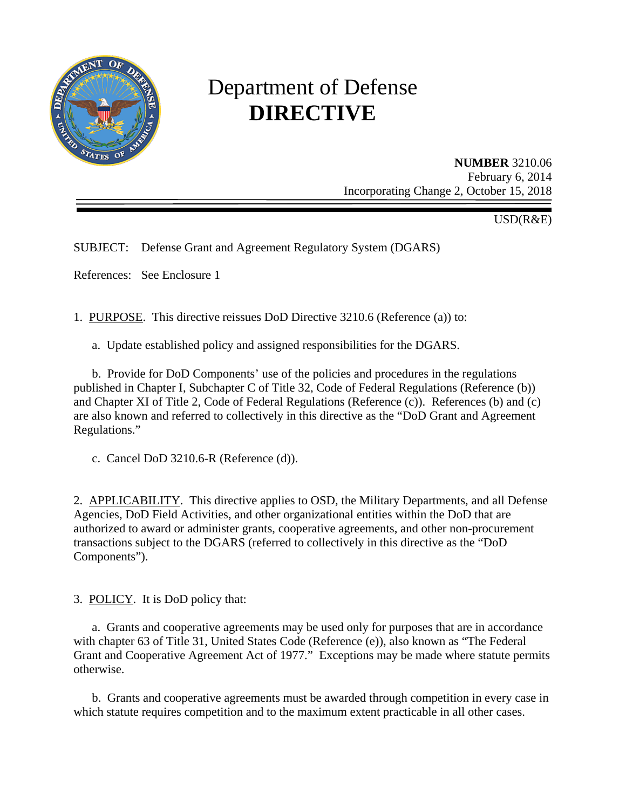

# Department of Defense **DIRECTIVE**

**NUMBER** 3210.06 February 6, 2014 Incorporating Change 2, October 15, 2018

USD(R&E)

SUBJECT: Defense Grant and Agreement Regulatory System (DGARS)

References: See Enclosure 1

1. PURPOSE. This directive reissues DoD Directive 3210.6 (Reference (a)) to:

a. Update established policy and assigned responsibilities for the DGARS.

b. Provide for DoD Components' use of the policies and procedures in the regulations published in Chapter I, Subchapter C of Title 32, Code of Federal Regulations (Reference (b)) and Chapter XI of Title 2, Code of Federal Regulations (Reference (c)). References (b) and (c) are also known and referred to collectively in this directive as the "DoD Grant and Agreement Regulations."

c. Cancel DoD 3210.6-R (Reference (d)).

2. APPLICABILITY. This directive applies to OSD, the Military Departments, and all Defense Agencies, DoD Field Activities, and other organizational entities within the DoD that are authorized to award or administer grants, cooperative agreements, and other non-procurement transactions subject to the DGARS (referred to collectively in this directive as the "DoD Components").

3. POLICY. It is DoD policy that:

a. Grants and cooperative agreements may be used only for purposes that are in accordance with chapter 63 of Title 31, United States Code (Reference (e)), also known as "The Federal Grant and Cooperative Agreement Act of 1977." Exceptions may be made where statute permits otherwise.

b. Grants and cooperative agreements must be awarded through competition in every case in which statute requires competition and to the maximum extent practicable in all other cases.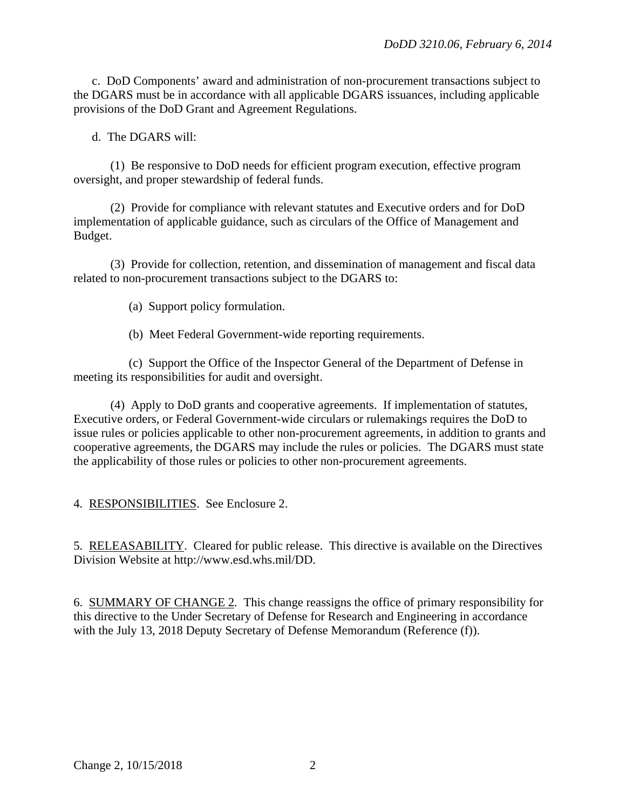c. DoD Components' award and administration of non-procurement transactions subject to the DGARS must be in accordance with all applicable DGARS issuances, including applicable provisions of the DoD Grant and Agreement Regulations.

d. The DGARS will:

(1) Be responsive to DoD needs for efficient program execution, effective program oversight, and proper stewardship of federal funds.

(2) Provide for compliance with relevant statutes and Executive orders and for DoD implementation of applicable guidance, such as circulars of the Office of Management and Budget.

(3) Provide for collection, retention, and dissemination of management and fiscal data related to non-procurement transactions subject to the DGARS to:

(a) Support policy formulation.

(b) Meet Federal Government-wide reporting requirements.

(c) Support the Office of the Inspector General of the Department of Defense in meeting its responsibilities for audit and oversight.

(4) Apply to DoD grants and cooperative agreements. If implementation of statutes, Executive orders, or Federal Government-wide circulars or rulemakings requires the DoD to issue rules or policies applicable to other non-procurement agreements, in addition to grants and cooperative agreements, the DGARS may include the rules or policies. The DGARS must state the applicability of those rules or policies to other non-procurement agreements.

4. RESPONSIBILITIES. See Enclosure 2.

5. RELEASABILITY. Cleared for public release. This directive is available on the Directives Division Website at http://www.esd.whs.mil/DD.

6. SUMMARY OF CHANGE 2. This change reassigns the office of primary responsibility for this directive to the Under Secretary of Defense for Research and Engineering in accordance with the July 13, 2018 Deputy Secretary of Defense Memorandum (Reference (f)).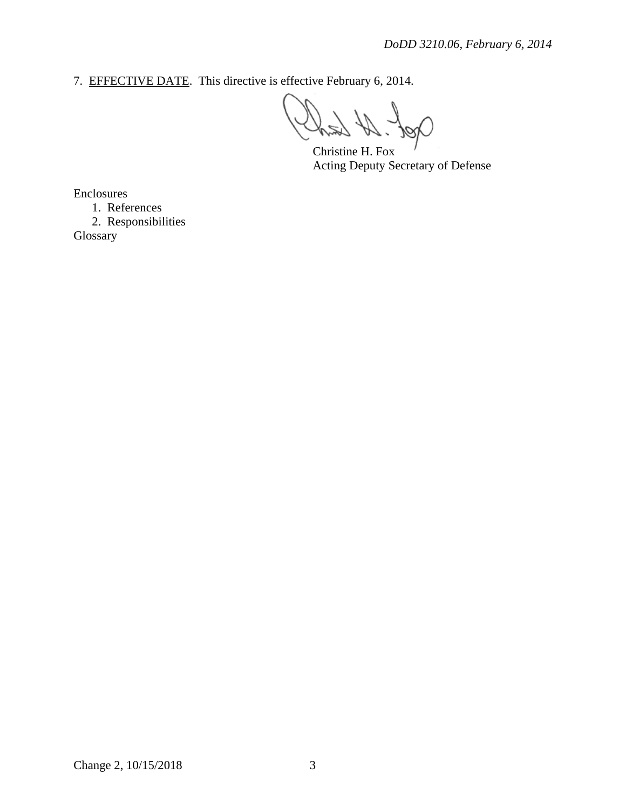7. EFFECTIVE DATE. This directive is effective February 6, 2014.

Christine H. Fox Acting Deputy Secretary of Defense

Enclosures

1. References

2. Responsibilities Glossary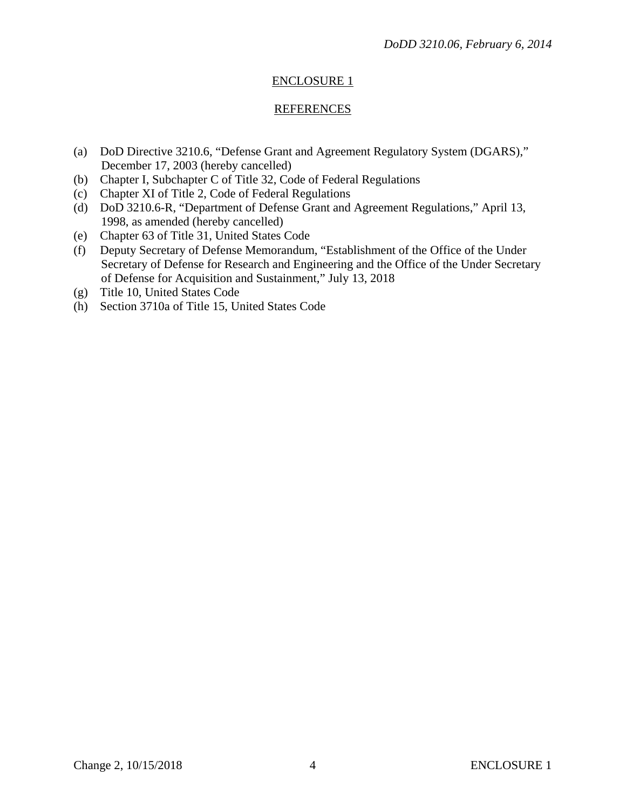## ENCLOSURE 1

### **REFERENCES**

- (a) DoD Directive 3210.6, "Defense Grant and Agreement Regulatory System (DGARS)," December 17, 2003 (hereby cancelled)
- (b) Chapter I, Subchapter C of Title 32, Code of Federal Regulations
- (c) Chapter XI of Title 2, Code of Federal Regulations
- (d) DoD 3210.6-R, "Department of Defense Grant and Agreement Regulations," April 13, 1998, as amended (hereby cancelled)
- (e) Chapter 63 of Title 31, United States Code
- (f) Deputy Secretary of Defense Memorandum, "Establishment of the Office of the Under Secretary of Defense for Research and Engineering and the Office of the Under Secretary of Defense for Acquisition and Sustainment," July 13, 2018
- (g) Title 10, United States Code
- (h) Section 3710a of Title 15, United States Code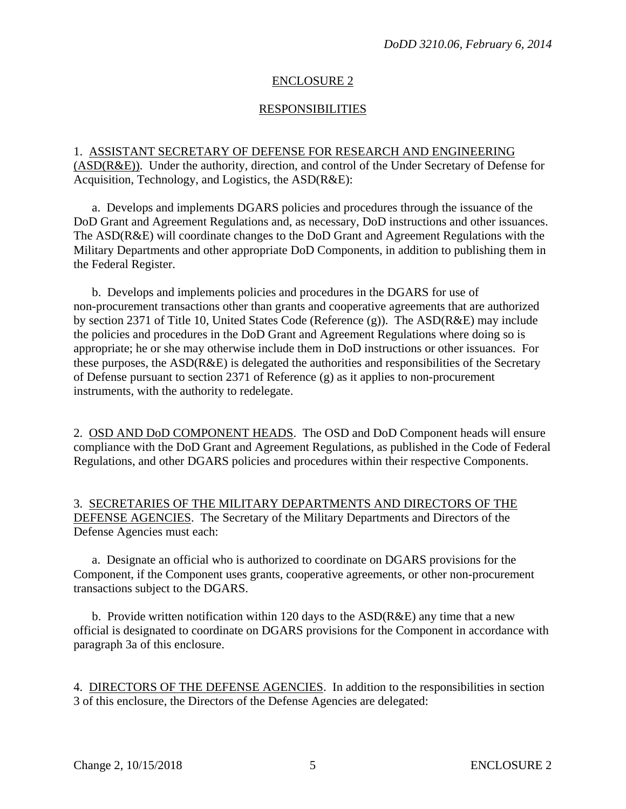## ENCLOSURE 2

## RESPONSIBILITIES

1. ASSISTANT SECRETARY OF DEFENSE FOR RESEARCH AND ENGINEERING (ASD(R&E)). Under the authority, direction, and control of the Under Secretary of Defense for Acquisition, Technology, and Logistics, the ASD(R&E):

a. Develops and implements DGARS policies and procedures through the issuance of the DoD Grant and Agreement Regulations and, as necessary, DoD instructions and other issuances. The ASD(R&E) will coordinate changes to the DoD Grant and Agreement Regulations with the Military Departments and other appropriate DoD Components, in addition to publishing them in the Federal Register.

b. Develops and implements policies and procedures in the DGARS for use of non-procurement transactions other than grants and cooperative agreements that are authorized by section 2371 of Title 10, United States Code (Reference (g)). The ASD(R&E) may include the policies and procedures in the DoD Grant and Agreement Regulations where doing so is appropriate; he or she may otherwise include them in DoD instructions or other issuances. For these purposes, the ASD(R&E) is delegated the authorities and responsibilities of the Secretary of Defense pursuant to section 2371 of Reference (g) as it applies to non-procurement instruments, with the authority to redelegate.

2. OSD AND DoD COMPONENT HEADS. The OSD and DoD Component heads will ensure compliance with the DoD Grant and Agreement Regulations, as published in the Code of Federal Regulations, and other DGARS policies and procedures within their respective Components.

3. SECRETARIES OF THE MILITARY DEPARTMENTS AND DIRECTORS OF THE DEFENSE AGENCIES. The Secretary of the Military Departments and Directors of the Defense Agencies must each:

a. Designate an official who is authorized to coordinate on DGARS provisions for the Component, if the Component uses grants, cooperative agreements, or other non-procurement transactions subject to the DGARS.

b. Provide written notification within 120 days to the  $ASD(R\&E)$  any time that a new official is designated to coordinate on DGARS provisions for the Component in accordance with paragraph 3a of this enclosure.

4. DIRECTORS OF THE DEFENSE AGENCIES. In addition to the responsibilities in section 3 of this enclosure, the Directors of the Defense Agencies are delegated: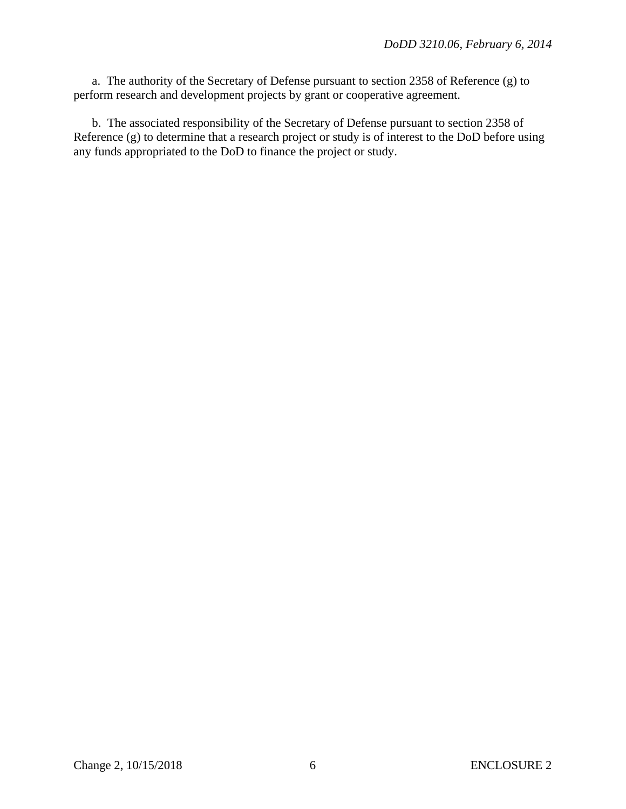a. The authority of the Secretary of Defense pursuant to section 2358 of Reference (g) to perform research and development projects by grant or cooperative agreement.

b. The associated responsibility of the Secretary of Defense pursuant to section 2358 of Reference (g) to determine that a research project or study is of interest to the DoD before using any funds appropriated to the DoD to finance the project or study.